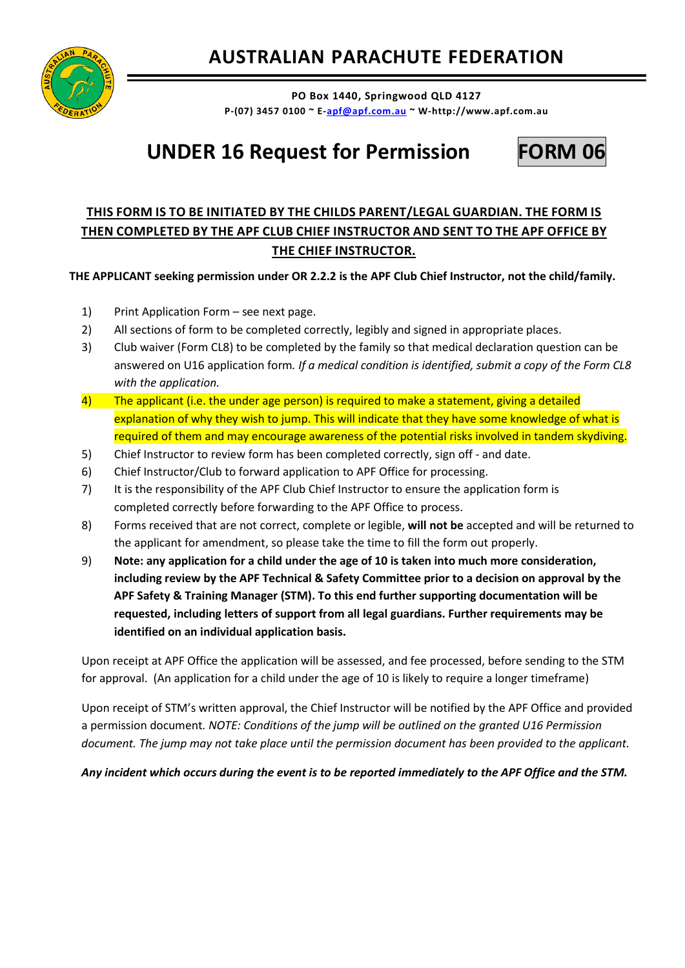

**PO Box 1440, Springwood QLD 4127 P-(07) 3457 0100 ~ E[-apf@apf.com.au](mailto:apf@apf.com.au) ~ W-http://www.apf.com.au** 

## **UNDER 16 Request for Permission FORM 06**



## **THIS FORM IS TO BE INITIATED BY THE CHILDS PARENT/LEGAL GUARDIAN. THE FORM IS THEN COMPLETED BY THE APF CLUB CHIEF INSTRUCTOR AND SENT TO THE APF OFFICE BY THE CHIEF INSTRUCTOR.**

**THE APPLICANT seeking permission under OR 2.2.2 is the APF Club Chief Instructor, not the child/family.**

- 1) Print Application Form see next page.
- 2) All sections of form to be completed correctly, legibly and signed in appropriate places.
- 3) Club waiver (Form CL8) to be completed by the family so that medical declaration question can be answered on U16 application form*. If a medical condition is identified, submit a copy of the Form CL8 with the application.*
- $\frac{4}{1}$  The applicant (i.e. the under age person) is required to make a statement, giving a detailed explanation of why they wish to jump. This will indicate that they have some knowledge of what is required of them and may encourage awareness of the potential risks involved in tandem skydiving.
- 5) Chief Instructor to review form has been completed correctly, sign off and date.
- 6) Chief Instructor/Club to forward application to APF Office for processing.
- 7) It is the responsibility of the APF Club Chief Instructor to ensure the application form is completed correctly before forwarding to the APF Office to process.
- 8) Forms received that are not correct, complete or legible, **will not be** accepted and will be returned to the applicant for amendment, so please take the time to fill the form out properly.
- 9) **Note: any application for a child under the age of 10 is taken into much more consideration, including review by the APF Technical & Safety Committee prior to a decision on approval by the APF Safety & Training Manager (STM). To this end further supporting documentation will be requested, including letters of support from all legal guardians. Further requirements may be identified on an individual application basis.**

Upon receipt at APF Office the application will be assessed, and fee processed, before sending to the STM for approval. (An application for a child under the age of 10 is likely to require a longer timeframe)

Upon receipt of STM's written approval, the Chief Instructor will be notified by the APF Office and provided a permission document*. NOTE: Conditions of the jump will be outlined on the granted U16 Permission document. The jump may not take place until the permission document has been provided to the applicant.*

## *Any incident which occurs during the event is to be reported immediately to the APF Office and the STM.*